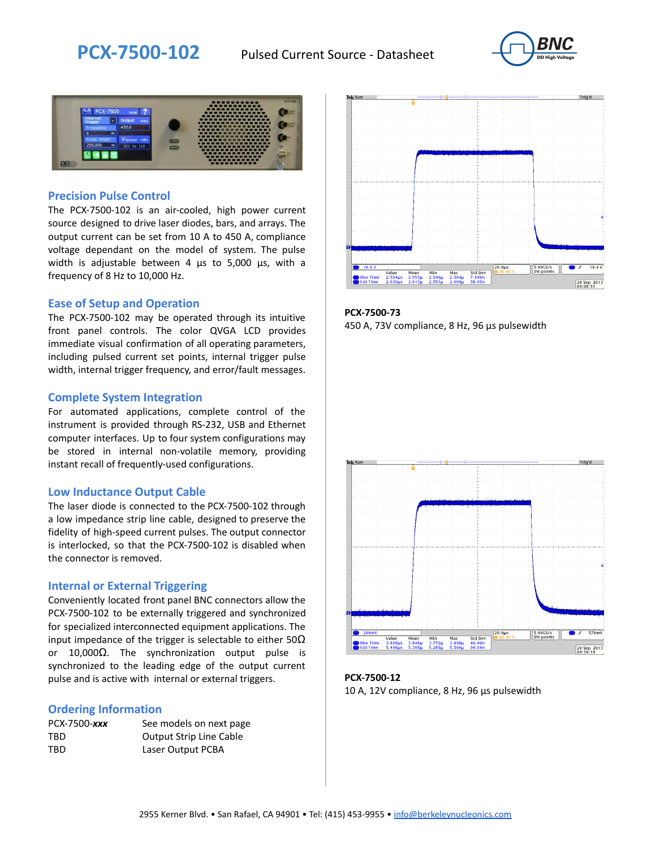



#### **Precision Pulse Control**

The PCX-7500-102 is an air-cooled, high power current source designed to drive laser diodes, bars, and arrays. The output current can be set from 10 A to 450 A, compliance voltage dependant on the model of system. The pulse width is adjustable between 4 µs to 5,000 µs, with a frequency of 8 Hz to 10,000 Hz.

#### **Ease of Setup and Operation**

The PCX-7500-102 may be operated through its intuitive front panel controls. The color QVGA LCD provides immediate visual confirmation of all operating parameters, including pulsed current set points, internal trigger pulse width, internal trigger frequency, and error/fault messages.

#### **Complete System Integration**

For automated applications, complete control of the instrument is provided through RS-232, USB and Ethernet computer interfaces. Up to four system configurations may be stored in internal non-volatile memory, providing instant recall of frequently-used configurations.

#### **Low Inductance Output Cable**

The laser diode is connected to the PCX-7500-102 through a low impedance strip line cable, designed to preserve the fidelity of high-speed current pulses. The output connector is interlocked, so that the PCX-7500-102 is disabled when the connector is removed.

#### **Internal or External Triggering**

Conveniently located front panel BNC connectors allow the PCX-7500-102 to be externally triggered and synchronized for specialized interconnected equipment applications. The input impedance of the trigger is selectable to either  $50\Omega$ or 10,000Ω. The synchronization output pulse is synchronized to the leading edge of the output current pulse and is active with internal or external triggers.

#### **Ordering Information**

| PCX-7500-xxx | See models on next page        |
|--------------|--------------------------------|
| TBD          | <b>Output Strip Line Cable</b> |
| TBD          | Laser Output PCBA              |



**PCX-7500-73** 450 A, 73V compliance, 8 Hz, 96 µs pulsewidth



**PCX-7500-12** 10 A, 12V compliance, 8 Hz, 96 μs pulsewidth